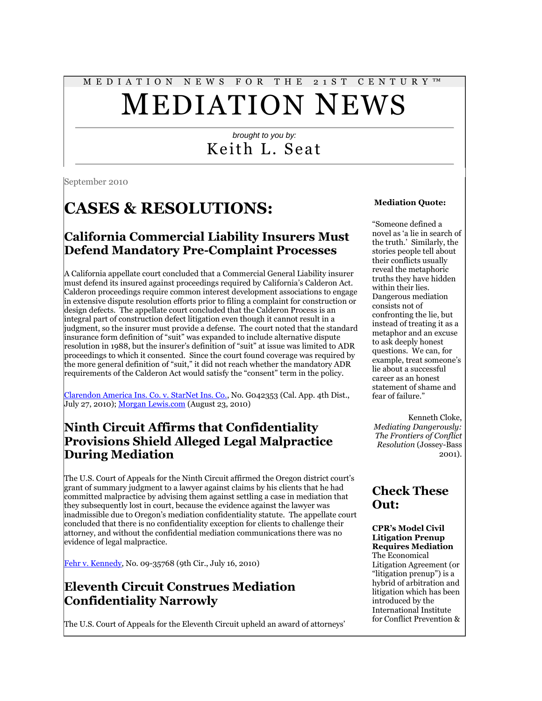# M E D I A T I O N N E W S F O R T H E 2 1 S T C E N T U R Y ™ MEDIATION NEWS

#### *brought to you by:* Keith L. Seat

September 2010

## **CASES & RESOLUTIONS:**

#### **California Commercial Liability Insurers Must Defend Mandatory Pre-Complaint Processes**

A California appellate court concluded that a Commercial General Liability insurer must defend its insured against proceedings required by California"s Calderon Act. Calderon proceedings require common interest development associations to engage in extensive dispute resolution efforts prior to filing a complaint for construction or design defects. The appellate court concluded that the Calderon Process is an integral part of construction defect litigation even though it cannot result in a judgment, so the insurer must provide a defense. The court noted that the standard insurance form definition of "suit" was expanded to include alternative dispute resolution in 1988, but the insurer"s definition of "suit" at issue was limited to ADR proceedings to which it consented. Since the court found coverage was required by the more general definition of "suit," it did not reach whether the mandatory ADR requirements of the Calderon Act would satisfy the "consent" term in the policy.

[Clarendon America Ins. Co. v. StarNet Ins. Co.,](http://www.californiainsurancelitigation.com/cases/Clarendon%20G042353.pdf) No. G042353 (Cal. App. 4th Dist., July 27, 2010); [Morgan Lewis.com](http://www.morganlewis.com/pubs/IR_AltDisputeResolution_LF_23aug10.pdf#page=1) (August 23, 2010)

#### **Ninth Circuit Affirms that Confidentiality Provisions Shield Alleged Legal Malpractice During Mediation**

The U.S. Court of Appeals for the Ninth Circuit affirmed the Oregon district court"s grant of summary judgment to a lawyer against claims by his clients that he had committed malpractice by advising them against settling a case in mediation that they subsequently lost in court, because the evidence against the lawyer was inadmissible due to Oregon"s mediation confidentiality statute. The appellate court concluded that there is no confidentiality exception for clients to challenge their attorney, and without the confidential mediation communications there was no evidence of legal malpractice.

[Fehr v. Kennedy,](http://www.leagle.com/unsecure/page.htm?shortname=infco20100716155) No. 09-35768 (9th Cir., July 16, 2010)

#### **Eleventh Circuit Construes Mediation Confidentiality Narrowly**

The U.S. Court of Appeals for the Eleventh Circuit upheld an award of attorneys"

#### **Mediation Quote:**

"Someone defined a novel as "a lie in search of the truth." Similarly, the stories people tell about their conflicts usually reveal the metaphoric truths they have hidden within their lies. Dangerous mediation consists not of confronting the lie, but instead of treating it as a metaphor and an excuse to ask deeply honest questions. We can, for example, treat someone's lie about a successful career as an honest statement of shame and fear of failure."

Kenneth Cloke, *Mediating Dangerously: The Frontiers of Conflict Resolution* (Jossey-Bass 2001).

#### **Check These Out:**

#### **CPR's Model Civil Litigation Prenup Requires Mediation**

The Economical Litigation Agreement (or "litigation prenup") is a hybrid of arbitration and litigation which has been introduced by the International Institute for Conflict Prevention &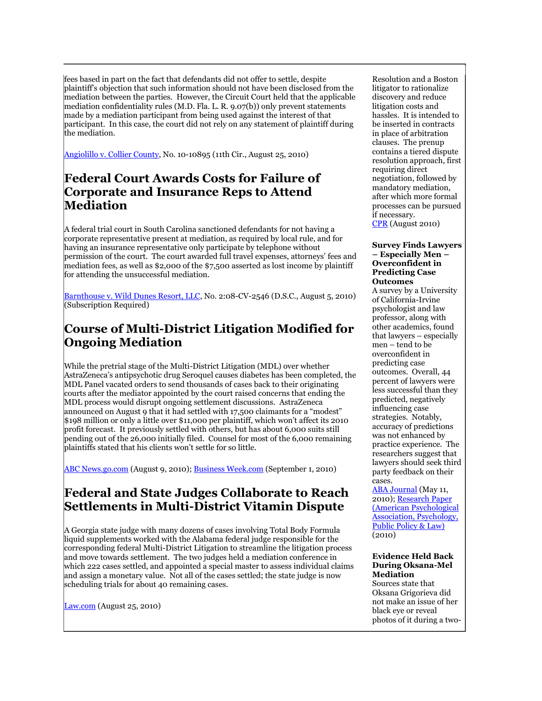fees based in part on the fact that defendants did not offer to settle, despite plaintiff"s objection that such information should not have been disclosed from the mediation between the parties. However, the Circuit Court held that the applicable mediation confidentiality rules (M.D. Fla. L. R. 9.07(b)) only prevent statements made by a mediation participant from being used against the interest of that participant. In this case, the court did not rely on any statement of plaintiff during the mediation.

[Angiolillo v. Collier County,](http://www.leagle.com/unsecure/page.htm?shortname=infco20100825057) No. 10-10895 (11th Cir., August 25, 2010)

#### **Federal Court Awards Costs for Failure of Corporate and Insurance Reps to Attend Mediation**

A federal trial court in South Carolina sanctioned defendants for not having a corporate representative present at mediation, as required by local rule, and for having an insurance representative only participate by telephone without permission of the court. The court awarded full travel expenses, attorneys" fees and mediation fees, as well as \$2,000 of the \$7,500 asserted as lost income by plaintiff for attending the unsuccessful mediation.

[Barnthouse v. Wild Dunes Resort, LLC,](http://tinyurl.com/2chesch) No. 2:08-CV-2546 (D.S.C., August 5, 2010) (Subscription Required)

#### **Course of Multi-District Litigation Modified for Ongoing Mediation**

While the pretrial stage of the Multi-District Litigation (MDL) over whether AstraZeneca"s antipsychotic drug Seroquel causes diabetes has been completed, the MDL Panel vacated orders to send thousands of cases back to their originating courts after the mediator appointed by the court raised concerns that ending the MDL process would disrupt ongoing settlement discussions. AstraZeneca announced on August 9 that it had settled with 17,500 claimants for a "modest" \$198 million or only a little over \$11,000 per plaintiff, which won"t affect its 2010 profit forecast. It previously settled with others, but has about 6,000 suits still pending out of the 26,000 initially filed. Counsel for most of the 6,000 remaining plaintiffs stated that his clients won"t settle for so little.

[ABC News.go.com](http://abcnews.go.com/Business/wireStory?id=11356249) (August 9, 2010); **Business Week.com** (September 1, 2010)

#### **Federal and State Judges Collaborate to Reach Settlements in Multi-District Vitamin Dispute**

A Georgia state judge with many dozens of cases involving Total Body Formula liquid supplements worked with the Alabama federal judge responsible for the corresponding federal Multi-District Litigation to streamline the litigation process and move towards settlement. The two judges held a mediation conference in which 222 cases settled, and appointed a special master to assess individual claims and assign a monetary value. Not all of the cases settled; the state judge is now scheduling trials for about 40 remaining cases.

[Law.com](http://www.law.com/jsp/article.jsp?id=1202470897664) (August 25, 2010)

Resolution and a Boston litigator to rationalize discovery and reduce litigation costs and hassles. It is intended to be inserted in contracts in place of arbitration clauses. The prenup contains a tiered dispute resolution approach, first requiring direct negotiation, followed by mandatory mediation, after which more formal processes can be pursued if necessary.

[CPR](http://www.cpradr.org/ClausesRules/EconomicalLitigationAgreements/tabid/452/Default.aspx) (August 2010)

#### **Survey Finds Lawyers – Especially Men – Overconfident in Predicting Case Outcomes**

A survey by a University of California-Irvine psychologist and law professor, along with other academics, found that lawyers – especially men – tend to be overconfident in predicting case outcomes. Overall, 44 percent of lawyers were less successful than they predicted, negatively influencing case strategies. Notably, accuracy of predictions was not enhanced by practice experience. The researchers suggest that lawyers should seek third party feedback on their cases.

[ABA Journal](http://www.abajournal.com/news/article/lawyers--especially_men--may_be_too_optimistic_about_case_outcomes_survey_s) (May 11, 2010); [Research Paper](http://www.apa.org/pubs/journals/releases/law-16-2-133.pdf)  [\(American Psychological](http://www.apa.org/pubs/journals/releases/law-16-2-133.pdf)  [Association, Psychology,](http://www.apa.org/pubs/journals/releases/law-16-2-133.pdf)  [Public Policy & Law\)](http://www.apa.org/pubs/journals/releases/law-16-2-133.pdf) (2010)

#### **Evidence Held Back During Oksana-Mel Mediation**

Sources state that Oksana Grigorieva did not make an issue of her black eye or reveal photos of it during a two-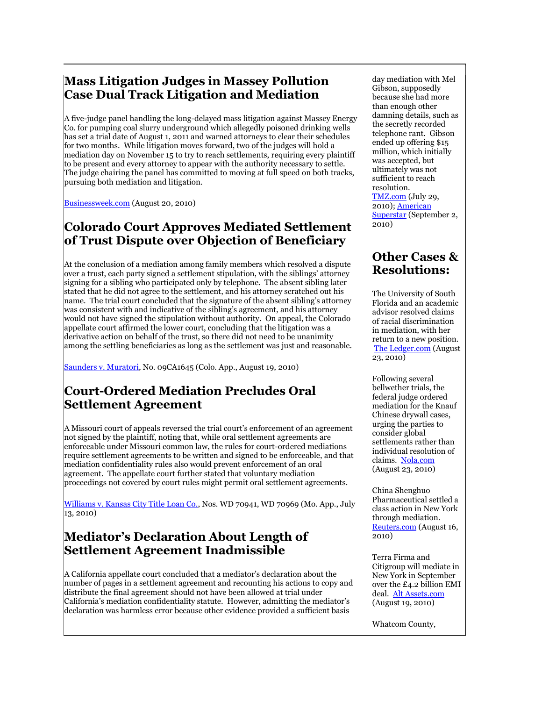#### **Mass Litigation Judges in Massey Pollution Case Dual Track Litigation and Mediation**

A five-judge panel handling the long-delayed mass litigation against Massey Energy Co. for pumping coal slurry underground which allegedly poisoned drinking wells has set a trial date of August 1, 2011 and warned attorneys to clear their schedules for two months. While litigation moves forward, two of the judges will hold a mediation day on November 15 to try to reach settlements, requiring every plaintiff to be present and every attorney to appear with the authority necessary to settle. The judge chairing the panel has committed to moving at full speed on both tracks, pursuing both mediation and litigation.

[Businessweek.com](http://www.businessweek.com/ap/financialnews/D9HNF1CG0.htm) (August 20, 2010)

#### **Colorado Court Approves Mediated Settlement of Trust Dispute over Objection of Beneficiary**

At the conclusion of a mediation among family members which resolved a dispute over a trust, each party signed a settlement stipulation, with the siblings" attorney signing for a sibling who participated only by telephone. The absent sibling later stated that he did not agree to the settlement, and his attorney scratched out his name. The trial court concluded that the signature of the absent sibling"s attorney was consistent with and indicative of the sibling"s agreement, and his attorney would not have signed the stipulation without authority. On appeal, the Colorado appellate court affirmed the lower court, concluding that the litigation was a derivative action on behalf of the trust, so there did not need to be unanimity among the settling beneficiaries as long as the settlement was just and reasonable.

[Saunders v. Muratori,](http://www.leagle.com/unsecure/page.htm?shortname=incoco20100819053) No. 09CA1645 (Colo. App., August 19, 2010)

#### **Court-Ordered Mediation Precludes Oral Settlement Agreement**

A Missouri court of appeals reversed the trial court"s enforcement of an agreement not signed by the plaintiff, noting that, while oral settlement agreements are enforceable under Missouri common law, the rules for court-ordered mediations require settlement agreements to be written and signed to be enforceable, and that mediation confidentiality rules also would prevent enforcement of an oral agreement. The appellate court further stated that voluntary mediation proceedings not covered by court rules might permit oral settlement agreements.

[Williams v. Kansas City Title Loan Co.,](http://www.courts.mo.gov/file.jsp?id=40038) Nos. WD 70941, WD 70969 (Mo. App., July 13, 2010)

#### **Mediator's Declaration About Length of Settlement Agreement Inadmissible**

A California appellate court concluded that a mediator"s declaration about the number of pages in a settlement agreement and recounting his actions to copy and distribute the final agreement should not have been allowed at trial under California's mediation confidentiality statute. However, admitting the mediator's declaration was harmless error because other evidence provided a sufficient basis

day mediation with Mel Gibson, supposedly because she had more than enough other damning details, such as the secretly recorded telephone rant. Gibson ended up offering \$15 million, which initially was accepted, but ultimately was not sufficient to reach resolution. [TMZ.com](http://www.tmz.com/2010/07/29/oksana-grigorieva-mel-gibson-mediation-evidence-investigation-extortion-black-eye/) (July 29, 2010); [American](http://www.americansuperstarmag.com/news/police-still-investigating-mel-gibsons-extortion-claims-against-oksana-grigorieva)  [Superstar](http://www.americansuperstarmag.com/news/police-still-investigating-mel-gibsons-extortion-claims-against-oksana-grigorieva) (September 2, 2010)

#### **Other Cases & Resolutions:**

The University of South Florida and an academic advisor resolved claims of racial discrimination in mediation, with her return to a new position. [The Ledger.com](http://www.theledger.com/article/20100823/NEWS/8235080/1002/SPORTS?Title=Academic-Advisor-Landers-Returns-to-USF-As-Settlement-Reached&tc=ar) (August 23, 2010)

Following several bellwether trials, the federal judge ordered mediation for the Knauf Chinese drywall cases, urging the parties to consider global settlements rather than individual resolution of claims. [Nola.com](http://www.nola.com/business/index.ssf/2010/08/mediation_tuesday_in_knauf_chi.html) (August 23, 2010)

China Shenghuo Pharmaceutical settled a class action in New York through mediation. [Reuters.com](http://www.reuters.com/article/idUS147911+16-Aug-2010+PRN20100816) (August 16, 2010)

Terra Firma and Citigroup will mediate in New York in September over the £4.2 billion EMI deal. [Alt Assets.com](http://www.altassets.com/private-equity-news/article/nz19124.html) (August 19, 2010)

Whatcom County,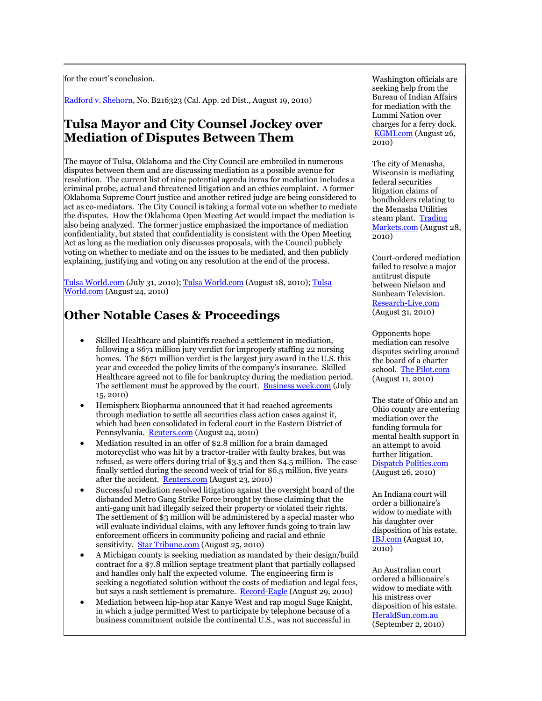for the court's conclusion.

[Radford v. Shehorn,](http://www.metnews.com/sos.cgi?0810%2FB216323) No. B216323 (Cal. App. 2d Dist., August 19, 2010)

#### **Tulsa Mayor and City Counsel Jockey over Mediation of Disputes Between Them**

The mayor of Tulsa, Oklahoma and the City Council are embroiled in numerous disputes between them and are discussing mediation as a possible avenue for resolution. The current list of nine potential agenda items for mediation includes a criminal probe, actual and threatened litigation and an ethics complaint. A former Oklahoma Supreme Court justice and another retired judge are being considered to act as co-mediators. The City Council is taking a formal vote on whether to mediate the disputes. How the Oklahoma Open Meeting Act would impact the mediation is also being analyzed. The former justice emphasized the importance of mediation confidentiality, but stated that confidentiality is consistent with the Open Meeting Act as long as the mediation only discusses proposals, with the Council publicly voting on whether to mediate and on the issues to be mediated, and then publicly explaining, justifying and voting on any resolution at the end of the process.

[Tulsa World.com](http://www.tulsaworld.com/news/article.aspx?subjectid=334&articleid=20100731_11_A15_MayorD892254) (July 31, 2010); [Tulsa World.com](http://www.tulsaworld.com/news/article.aspx?subjectid=334&articleid=20100818_11_A1_CUTLIN770873) (August 18, 2010); [Tulsa](http://www.tulsaworld.com/news/article.aspx?subjectid=334&articleid=20100824_11_A9_CUTLIN605621)  [World.com](http://www.tulsaworld.com/news/article.aspx?subjectid=334&articleid=20100824_11_A9_CUTLIN605621) (August 24, 2010)

### **Other Notable Cases & Proceedings**

- Skilled Healthcare and plaintiffs reached a settlement in mediation, following a \$671 million jury verdict for improperly staffing 22 nursing homes. The \$671 million verdict is the largest jury award in the U.S. this year and exceeded the policy limits of the company"s insurance. Skilled Healthcare agreed not to file for bankruptcy during the mediation period. The settlement must be approved by the court. [Business week.com](http://www.businessweek.com/news/2010-07-15/skilled-healthcare-agrees-to-mediation-to-settle-verdict-award.html) (July 15, 2010)
- Hemispherx Biopharma announced that it had reached agreements through mediation to settle all securities class action cases against it, which had been consolidated in federal court in the Eastern District of Pennsylvania. [Reuters.com](http://www.reuters.com/article/idUS116774+24-Aug-2010+GNW20100824) (August 24, 2010)
- Mediation resulted in an offer of \$2.8 million for a brain damaged motorcyclist who was hit by a tractor-trailer with faulty brakes, but was refused, as were offers during trial of \$3.5 and then \$4.5 million. The case finally settled during the second week of trial for \$6.5 million, five years after the accident. [Reuters.com](http://www.reuters.com/article/idUS157214+23-Aug-2010+BW20100823) (August 23, 2010)
- Successful mediation resolved litigation against the oversight board of the disbanded Metro Gang Strike Force brought by those claiming that the anti-gang unit had illegally seized their property or violated their rights. The settlement of \$3 million will be administered by a special master who will evaluate individual claims, with any leftover funds going to train law enforcement officers in community policing and racial and ethnic sensitivity. [Star Tribune.com](http://www.startribune.com/local/stpaul/101473659.html?elr=KArks:DCiUBcy7hUiD3aPc:_Yyc:aUHDYaGEP7eyckcUr) (August 25, 2010)
- A Michigan county is seeking mediation as mandated by their design/build contract for a \$7.8 million septage treatment plant that partially collapsed and handles only half the expected volume. The engineering firm is seeking a negotiated solution without the costs of mediation and legal fees, but says a cash settlement is premature. [Record-Eagle](113.%09http:/www.istockanalyst.com/article/viewiStockNews/articleid/4450191) (August 29, 2010)
- Mediation between hip-hop star Kanye West and rap mogul Suge Knight, in which a judge permitted West to participate by telephone because of a business commitment outside the continental U.S., was not successful in

Washington officials are seeking help from the Bureau of Indian Affairs for mediation with the Lummi Nation over charges for a ferry dock. [KGMI.com](http://kgmi.com/pages/8006980.php?) (August 26, 2010)

The city of Menasha, Wisconsin is mediating federal securities litigation claims of bondholders relating to the Menasha Utilities steam plant. [Trading](http://www.tradingmarkets.com/news/stock-alert/son_menasha-taps-first-national-bank-fox-valley-for-1-million-loan-to-pay-off-sonoco/us-paper-mills-1145170.html)  [Markets.com](http://www.tradingmarkets.com/news/stock-alert/son_menasha-taps-first-national-bank-fox-valley-for-1-million-loan-to-pay-off-sonoco/us-paper-mills-1145170.html) (August 28, 2010)

Court-ordered mediation failed to resolve a major antitrust dispute between Nielson and Sunbeam Television. [Research-Live.com](http://www.research-live.com/news/legal/mediation-fails-to-solve-sunbeam-and-nielsen-antitrust-row/4003493.article) (August 31, 2010)

Opponents hope mediation can resolve disputes swirling around the board of a charter school. [The Pilot.com](http://www.thepilot.com/news/2010/aug/11/parties-stars-lawsuit-seek-mediation/) (August 11, 2010)

The state of Ohio and an Ohio county are entering mediation over the funding formula for mental health support in an attempt to avoid further litigation. [Dispatch Politics.com](http://www.dispatchpolitics.com/live/content/local_news/stories/2010/08/26/copy/mental-health-funding-fight-heading-to-mediation.html?adsec=politics&sid=101) (August 26, 2010)

An Indiana court will order a billionaire"s widow to mediate with his daughter over disposition of his estate. [IBJ.com](http://www.ibj.com/judge-orders-mediation-in-simon-estate-dispute/PARAMS/article/21599) (August 10, 2010)

An Australian court ordered a billionaire"s widow to mediate with his mistress over disposition of his estate. [HeraldSun.com.au](http://www.heraldsun.com.au/news/victoria/showdown-over-pratt-will/story-e6frf7kx-1225912992911) (September 2, 2010)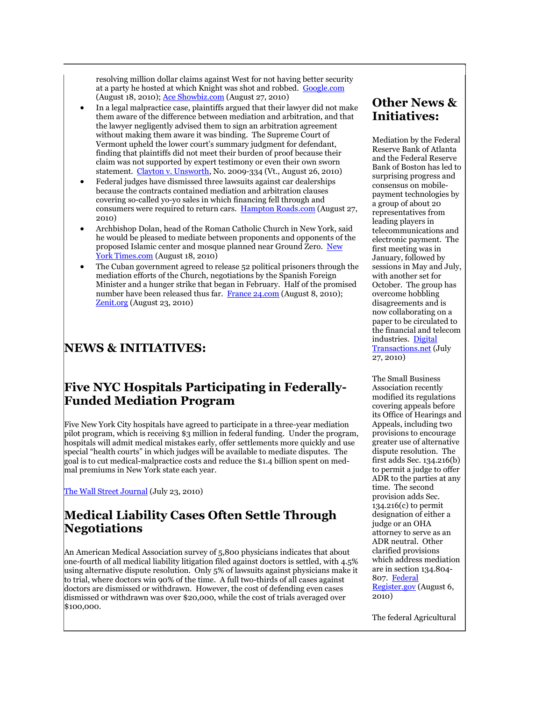resolving million dollar claims against West for not having better security at a party he hosted at which Knight was shot and robbed. [Google.com](http://www.google.com/hostednews/ap/article/ALeqM5hQtj1i1zZ4hruVlcK8d4-ZKmJ2dgD9HLS6L80) (August 18, 2010); [Ace Showbiz.com](http://www.aceshowbiz.com/news/view/w0005856.html) (August 27, 2010)

- In a legal malpractice case, plaintiffs argued that their lawyer did not make them aware of the difference between mediation and arbitration, and that the lawyer negligently advised them to sign an arbitration agreement without making them aware it was binding. The Supreme Court of Vermont upheld the lower court's summary judgment for defendant, finding that plaintiffs did not meet their burden of proof because their claim was not supported by expert testimony or even their own sworn statement. [Clayton v. Unsworth,](http://www.leagle.com/unsecure/page.htm?shortname=invtco20100826c71) No. 2009-334 (Vt., August 26, 2010)
- Federal judges have dismissed three lawsuits against car dealerships because the contracts contained mediation and arbitration clauses covering so-called yo-yo sales in which financing fell through and consumers were required to return cars. [Hampton Roads.com](http://hamptonroads.com/2010/08/disputes-over-yoyo-car-sales-head-arbitration) (August 27, 2010)
- Archbishop Dolan, head of the Roman Catholic Church in New York, said he would be pleased to mediate between proponents and opponents of the proposed Islamic center and mosque planned near Ground Zero. New [York Times.com](http://www.nytimes.com/2010/08/19/nyregion/19dolan.html?_r=3&src=mv) (August 18, 2010)
- The Cuban government agreed to release 52 political prisoners through the mediation efforts of the Church, negotiations by the Spanish Foreign Minister and a hunger strike that began in February. Half of the promised number have been released thus far. [France 24.com](http://www.france24.com/en/20100707-cuba-52-political-prisoners-release-catholic-church-spain-moratinos) (August 8, 2010); [Zenit.org](http://www.zenit.org/article-30130?l=english) (August 23, 2010)

### **NEWS & INITIATIVES:**

#### **Five NYC Hospitals Participating in Federally-Funded Mediation Program**

Five New York City hospitals have agreed to participate in a three-year mediation pilot program, which is receiving \$3 million in federal funding. Under the program, hospitals will admit medical mistakes early, offer settlements more quickly and use special "health courts" in which judges will be available to mediate disputes. The goal is to cut medical-malpractice costs and reduce the \$1.4 billion spent on medmal premiums in New York state each year.

[The Wall Street Journal](http://online.wsj.com/article/NA_WSJ_PUB:SB10001424052748703467304575383501123709186.html) (July 23, 2010)

#### **Medical Liability Cases Often Settle Through Negotiations**

An American Medical Association survey of 5,800 physicians indicates that about one-fourth of all medical liability litigation filed against doctors is settled, with 4.5% using alternative dispute resolution. Only 5% of lawsuits against physicians make it to trial, where doctors win 90% of the time. A full two-thirds of all cases against doctors are dismissed or withdrawn. However, the cost of defending even cases dismissed or withdrawn was over \$20,000, while the cost of trials averaged over \$100,000.

#### **Other News & Initiatives:**

Mediation by the Federal Reserve Bank of Atlanta and the Federal Reserve Bank of Boston has led to surprising progress and consensus on mobilepayment technologies by a group of about 20 representatives from leading players in telecommunications and electronic payment. The first meeting was in January, followed by sessions in May and July, with another set for October. The group has overcome hobbling disagreements and is now collaborating on a paper to be circulated to the financial and telecom industries. [Digital](http://www.digitaltransactions.net/newsstory.cfm?newsid=2593)  [Transactions.net](http://www.digitaltransactions.net/newsstory.cfm?newsid=2593) (July 27, 2010)

The Small Business Association recently modified its regulations covering appeals before its Office of Hearings and Appeals, including two provisions to encourage greater use of alternative dispute resolution. The first adds Sec. 134.216(b) to permit a judge to offer ADR to the parties at any time. The second provision adds Sec. 134.216(c) to permit designation of either a judge or an OHA attorney to serve as an ADR neutral. Other clarified provisions which address mediation are in section 134.804- 807. [Federal](http://www.federalregister.gov/articles/2010/08/06/2010-19401/rules-of-procedure-governing-cases-before-the-office-of-hearings-and-appeals)  [Register.gov](http://www.federalregister.gov/articles/2010/08/06/2010-19401/rules-of-procedure-governing-cases-before-the-office-of-hearings-and-appeals) (August 6, 2010)

The federal Agricultural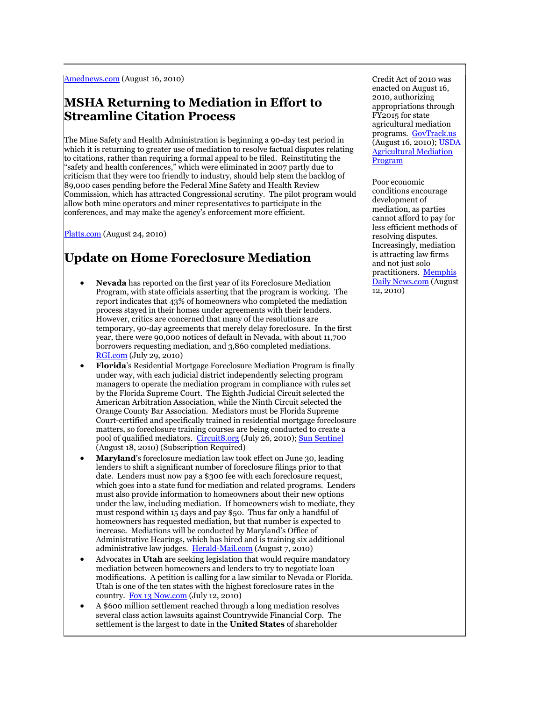[Amednews.com](http://www.ama-assn.org/amednews/2010/08/16/prl20816.htm) (August 16, 2010)

#### **MSHA Returning to Mediation in Effort to Streamline Citation Process**

The Mine Safety and Health Administration is beginning a 90-day test period in which it is returning to greater use of mediation to resolve factual disputes relating to citations, rather than requiring a formal appeal to be filed. Reinstituting the "safety and health conferences," which were eliminated in 2007 partly due to criticism that they were too friendly to industry, should help stem the backlog of 89,000 cases pending before the Federal Mine Safety and Health Review Commission, which has attracted Congressional scrutiny. The pilot program would allow both mine operators and miner representatives to participate in the conferences, and may make the agency"s enforcement more efficient.

[Platts.com](http://www.platts.com/RSSFeedDetailedNews/RSSFeed/HeadlineNews/Coal/6351560/) (August 24, 2010)

### **Update on Home Foreclosure Mediation**

- **Nevada** has reported on the first year of its Foreclosure Mediation Program, with state officials asserting that the program is working. The report indicates that 43% of homeowners who completed the mediation process stayed in their homes under agreements with their lenders. However, critics are concerned that many of the resolutions are temporary, 90-day agreements that merely delay foreclosure. In the first year, there were 90,000 notices of default in Nevada, with about 11,700 borrowers requesting mediation, and 3,860 completed mediations. [RGI.com](http://www.rgj.com/article/20100729/NEWS/7290342/Loan-mediation-program-43-stayed-in-their-homes&template=artsemantics&server=MOC-WN0336) (July 29, 2010)
- **Florida**"s Residential Mortgage Foreclosure Mediation Program is finally under way, with each judicial district independently selecting program managers to operate the mediation program in compliance with rules set by the Florida Supreme Court. The Eighth Judicial Circuit selected the American Arbitration Association, while the Ninth Circuit selected the Orange County Bar Association. Mediators must be Florida Supreme Court-certified and specifically trained in residential mortgage foreclosure matters, so foreclosure training courses are being conducted to create a pool of qualified mediators. [Circuit8.org](http://circuit8.org/foreclose/) (July 26, 2010); [Sun Sentinel](http://tinyurl.com/364cp5f) (August 18, 2010) (Subscription Required)
- **Maryland**"s foreclosure mediation law took effect on June 30, leading lenders to shift a significant number of foreclosure filings prior to that date. Lenders must now pay a \$300 fee with each foreclosure request, which goes into a state fund for mediation and related programs. Lenders must also provide information to homeowners about their new options under the law, including mediation. If homeowners wish to mediate, they must respond within 15 days and pay \$50. Thus far only a handful of homeowners has requested mediation, but that number is expected to increase. Mediations will be conducted by Maryland"s Office of Administrative Hearings, which has hired and is training six additional administrative law judges. [Herald-Mail.com](http://www.herald-mail.com/?cmd=displaystory&story_id=250535&format=html) (August 7, 2010)
- Advocates in **Utah** are seeking legislation that would require mandatory mediation between homeowners and lenders to try to negotiate loan modifications. A petition is calling for a law similar to Nevada or Florida. Utah is one of the ten states with the highest foreclosure rates in the country. [Fox 13 Now.com](http://www.fox13now.com/news/local/kstu-bill-to-push-mandatory-mediation-for-homeowners,0,1195066.story) (July 12, 2010)
- A \$600 million settlement reached through a long mediation resolves several class action lawsuits against Countrywide Financial Corp. The settlement is the largest to date in the **United States** of shareholder

Credit Act of 2010 was enacted on August 16, 2010, authorizing appropriations through FY2015 for state agricultural mediation programs. [GovTrack.us](http://www.govtrack.us/congress/bill.xpd?bill=h111-3509) (August 16, 2010); [USDA](http://www.fsa.usda.gov/FSA/webapp?area=home&subject=oued&topic=ops-am)  [Agricultural Mediation](http://www.fsa.usda.gov/FSA/webapp?area=home&subject=oued&topic=ops-am)  [Program](http://www.fsa.usda.gov/FSA/webapp?area=home&subject=oued&topic=ops-am)

Poor economic conditions encourage development of mediation, as parties cannot afford to pay for less efficient methods of resolving disputes. Increasingly, mediation is attracting law firms and not just solo practitioners. [Memphis](http://www.memphisdailynews.com/editorial/Article.aspx?id=52056)  [Daily News.com](http://www.memphisdailynews.com/editorial/Article.aspx?id=52056) (August 12, 2010)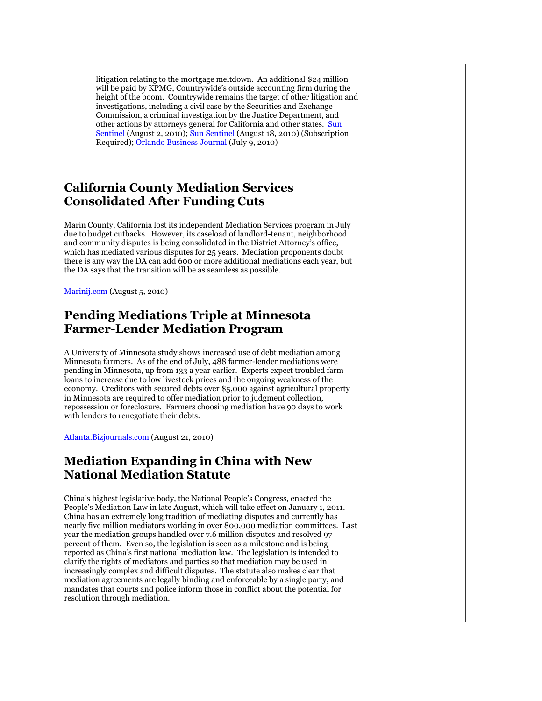litigation relating to the mortgage meltdown. An additional \$24 million will be paid by KPMG, Countrywide's outside accounting firm during the height of the boom. Countrywide remains the target of other litigation and investigations, including a civil case by the Securities and Exchange Commission, a criminal investigation by the Justice Department, and other actions by attorneys general for California and other states. [Sun](http://www.sun-sentinel.com/business/realestate/la-fi-countrywide-20100803,0,1760438.story)  [Sentinel](http://www.sun-sentinel.com/business/realestate/la-fi-countrywide-20100803,0,1760438.story) (August 2, 2010); [Sun Sentinel](http://tinyurl.com/364cp5f) (August 18, 2010) (Subscription Required)[; Orlando Business Journal](http://orlando.bizjournals.com/orlando/stories/2010/07/05/daily33.html) (July 9, 2010)

#### **California County Mediation Services Consolidated After Funding Cuts**

Marin County, California lost its independent Mediation Services program in July due to budget cutbacks. However, its caseload of landlord-tenant, neighborhood and community disputes is being consolidated in the District Attorney's office, which has mediated various disputes for 25 years. Mediation proponents doubt there is any way the DA can add 600 or more additional mediations each year, but the DA says that the transition will be as seamless as possible.

[Marinij.com](http://www.marinij.com/ci_15688759) (August 5, 2010)

#### **Pending Mediations Triple at Minnesota Farmer-Lender Mediation Program**

A University of Minnesota study shows increased use of debt mediation among Minnesota farmers. As of the end of July, 488 farmer-lender mediations were pending in Minnesota, up from 133 a year earlier. Experts expect troubled farm loans to increase due to low livestock prices and the ongoing weakness of the economy. Creditors with secured debts over \$5,000 against agricultural property in Minnesota are required to offer mediation prior to judgment collection, repossession or foreclosure. Farmers choosing mediation have 90 days to work with lenders to renegotiate their debts.

[Atlanta.Bizjournals.com](http://atlanta.bizjournals.com/twincities/stories/2009/08/17/daily53.html?q=mediation%20cases) (August 21, 2010)

#### **Mediation Expanding in China with New National Mediation Statute**

China"s highest legislative body, the National People"s Congress, enacted the People"s Mediation Law in late August, which will take effect on January 1, 2011. China has an extremely long tradition of mediating disputes and currently has nearly five million mediators working in over 800,000 mediation committees. Last year the mediation groups handled over 7.6 million disputes and resolved 97 percent of them. Even so, the legislation is seen as a milestone and is being reported as China"s first national mediation law. The legislation is intended to clarify the rights of mediators and parties so that mediation may be used in increasingly complex and difficult disputes. The statute also makes clear that mediation agreements are legally binding and enforceable by a single party, and mandates that courts and police inform those in conflict about the potential for resolution through mediation.